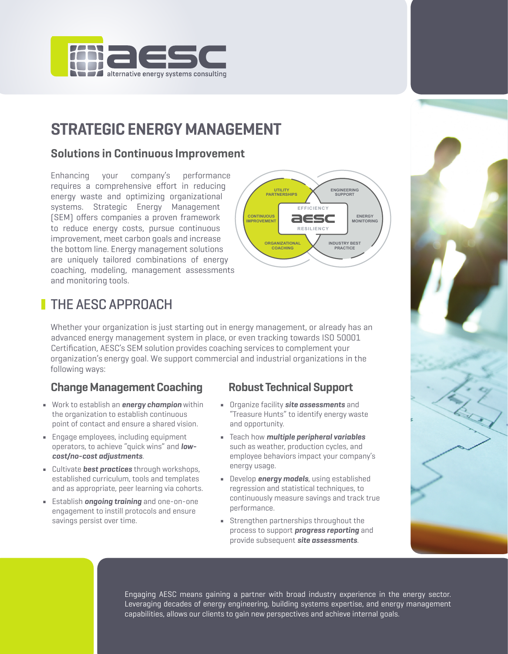

# **STRATEGIC ENERGY MANAGEMENT**

## **Solutions in Continuous Improvement**

Enhancing your company's performance requires a comprehensive effort in reducing energy waste and optimizing organizational systems. Strategic Energy Management (SEM) offers companies a proven framework to reduce energy costs, pursue continuous improvement, meet carbon goals and increase the bottom line. Energy management solutions are uniquely tailored combinations of energy coaching, modeling, management assessments and monitoring tools.



# **THE AESC APPROACH**

Whether your organization is just starting out in energy management, or already has an advanced energy management system in place, or even tracking towards ISO 50001 Certification, AESC's SEM solution provides coaching services to complement your organization's energy goal. We support commercial and industrial organizations in the following ways:

## **Change Management Coaching Robust Technical Support**

- Work to establish an *energy champion* within Organize facility *site assessments* and the organization to establish continuous "Treasure Hunts" to identify energy waste point of contact and ensure a shared vision. and opportunity.
- Engage employees, including equipment Teach how *multiple peripheral variables*
- Cultivate *best practices* through workshops, energy usage.<br>established curriculum, tools and templates Develop *energ* and as appropriate, peer learning via cohorts. regression and statistical techniques, to
- engagement to instill protocols and ensure

- 
- operators, to achieve "quick wins" and *low-* such as weather, production cycles, and *cost/no-cost adjustments*. employee behaviors impact your company's
- **Example 2** Develop **energy models**, using established ■ Establish **ongoing training** and one-on-one continuously measure savings and track true<br>performance.
	- savings persist over time.  $\qquad \qquad \bullet$  Strengthen partnerships throughout the process to support *progress reporting* and provide subsequent *site assessments*.



Engaging AESC means gaining a partner with broad industry experience in the energy sector. Leveraging decades of energy engineering, building systems expertise, and energy management capabilities, allows our clients to gain new perspectives and achieve internal goals.